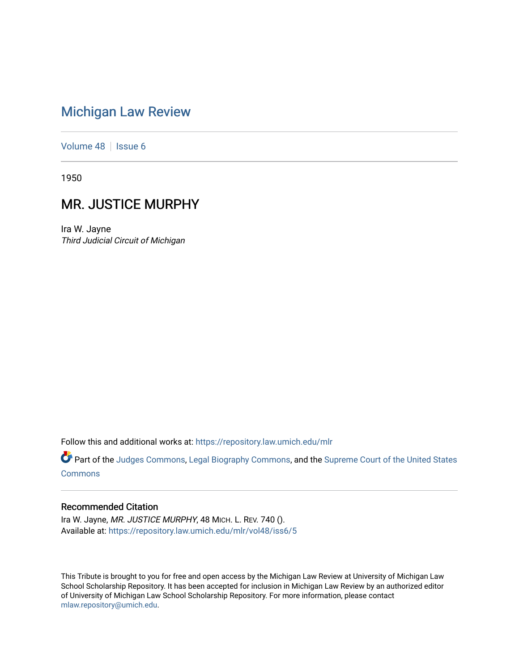# [Michigan Law Review](https://repository.law.umich.edu/mlr)

[Volume 48](https://repository.law.umich.edu/mlr/vol48) | [Issue 6](https://repository.law.umich.edu/mlr/vol48/iss6)

1950

## MR. JUSTICE MURPHY

Ira W. Jayne Third Judicial Circuit of Michigan

Follow this and additional works at: [https://repository.law.umich.edu/mlr](https://repository.law.umich.edu/mlr?utm_source=repository.law.umich.edu%2Fmlr%2Fvol48%2Fiss6%2F5&utm_medium=PDF&utm_campaign=PDFCoverPages) 

Part of the [Judges Commons,](http://network.bepress.com/hgg/discipline/849?utm_source=repository.law.umich.edu%2Fmlr%2Fvol48%2Fiss6%2F5&utm_medium=PDF&utm_campaign=PDFCoverPages) [Legal Biography Commons,](http://network.bepress.com/hgg/discipline/834?utm_source=repository.law.umich.edu%2Fmlr%2Fvol48%2Fiss6%2F5&utm_medium=PDF&utm_campaign=PDFCoverPages) and the Supreme Court of the United States **[Commons](http://network.bepress.com/hgg/discipline/1350?utm_source=repository.law.umich.edu%2Fmlr%2Fvol48%2Fiss6%2F5&utm_medium=PDF&utm_campaign=PDFCoverPages)** 

#### Recommended Citation

Ira W. Jayne, MR. JUSTICE MURPHY, 48 MICH. L. REV. 740 (). Available at: [https://repository.law.umich.edu/mlr/vol48/iss6/5](https://repository.law.umich.edu/mlr/vol48/iss6/5?utm_source=repository.law.umich.edu%2Fmlr%2Fvol48%2Fiss6%2F5&utm_medium=PDF&utm_campaign=PDFCoverPages)

This Tribute is brought to you for free and open access by the Michigan Law Review at University of Michigan Law School Scholarship Repository. It has been accepted for inclusion in Michigan Law Review by an authorized editor of University of Michigan Law School Scholarship Repository. For more information, please contact [mlaw.repository@umich.edu.](mailto:mlaw.repository@umich.edu)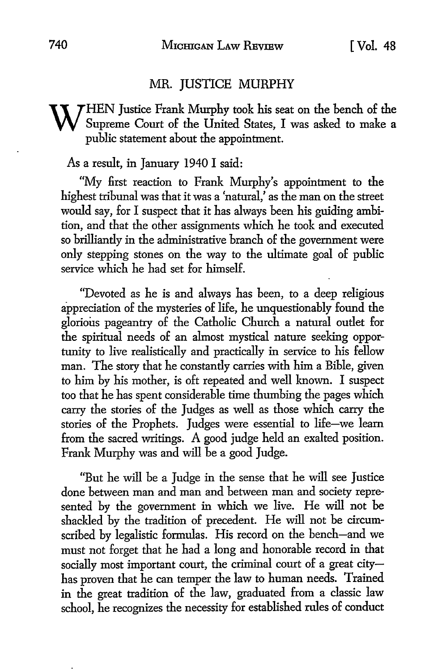#### MR. JUSTICE MURPHY

### WHEN Justice Frank Murphy took his seat on the bench of the Supreme Court of the United States, I was asked to make a public statement about the appointment.

As a result, in January 1940 I said:

"My first reaction to Frank Murphy's appointment to the highest tribunal was that it was a 'natural,' as the man on the street would say, for I suspect that it has always been his guiding ambition, and that the other assignments which he took and executed so brilliantly in the administrative branch of the government were only stepping stones on the way to the ultimate goal of public service which he had set for himself.

"Devoted as he is and always has been, to a deep religious appreciation of the mysteries of life, he unquestionably found the glorious pageantry of the Catholic Church a natural outlet for the spiritual needs of an almost mystical nature seeking opportunity to live realistically and practically in service to his fellow man. The story that he constantly carries with him a Bible, given to him by his mother, is oft repeated and well known. I suspect too that he has spent considerable time thumbing the pages which carry the stories of the Judges as well as those which carry the stories of the Prophets. Judges were essential to life-we learn from the sacred writings. A good judge held an exalted position. Frank Murphy was and will be a good Judge.

"But he will be a Judge in the sense that he will see Justice done between man and man and between man and society represented by the government in which we live. He will not be shackled by the tradition of precedent. He will not be circumscribed by legalistic formulas. His record on the bench-and we must not forget that he had a long and honorable record in that socially most important court, the criminal court of a great cityhas proven that he can temper the law to human needs. Trained in the great tradition of the law, graduated from a classic law school, he recognizes the necessity for established rules of conduct